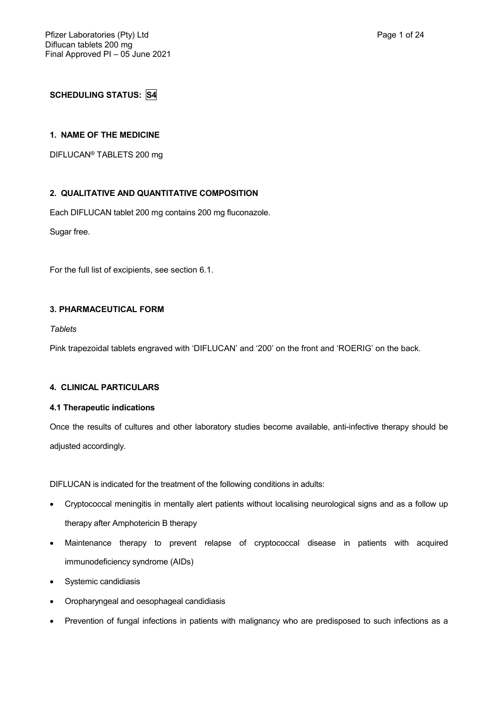# **SCHEDULING STATUS: S4**

# **1. NAME OF THE MEDICINE**

DIFLUCAN® TABLETS 200 mg

# **2. QUALITATIVE AND QUANTITATIVE COMPOSITION**

Each DIFLUCAN tablet 200 mg contains 200 mg fluconazole.

Sugar free.

For the full list of excipients, see section 6.1.

# **3. PHARMACEUTICAL FORM**

*Tablets*

Pink trapezoidal tablets engraved with 'DIFLUCAN' and '200' on the front and 'ROERIG' on the back.

# **4. CLINICAL PARTICULARS**

# **4.1 Therapeutic indications**

Once the results of cultures and other laboratory studies become available, anti-infective therapy should be adjusted accordingly.

DIFLUCAN is indicated for the treatment of the following conditions in adults:

- Cryptococcal meningitis in mentally alert patients without localising neurological signs and as a follow up therapy after Amphotericin B therapy
- Maintenance therapy to prevent relapse of cryptococcal disease in patients with acquired immunodeficiency syndrome (AIDs)
- Systemic candidiasis
- Oropharyngeal and oesophageal candidiasis
- Prevention of fungal infections in patients with malignancy who are predisposed to such infections as a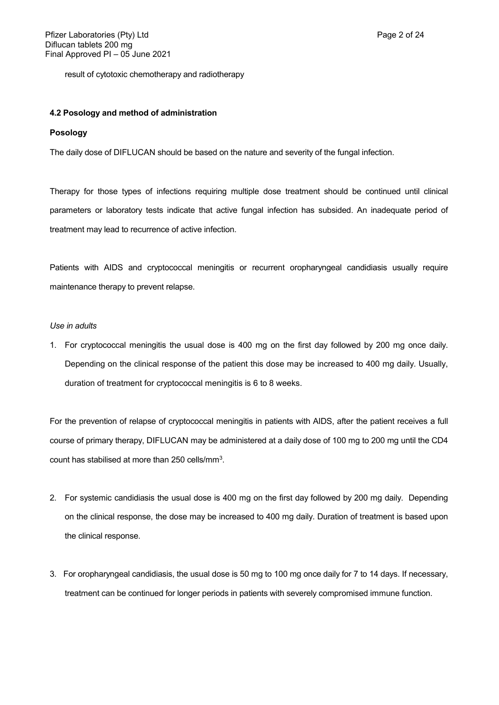result of cytotoxic chemotherapy and radiotherapy

## **4.2 Posology and method of administration**

# **Posology**

The daily dose of DIFLUCAN should be based on the nature and severity of the fungal infection.

Therapy for those types of infections requiring multiple dose treatment should be continued until clinical parameters or laboratory tests indicate that active fungal infection has subsided. An inadequate period of treatment may lead to recurrence of active infection.

Patients with AIDS and cryptococcal meningitis or recurrent oropharyngeal candidiasis usually require maintenance therapy to prevent relapse.

## *Use in adults*

1. For cryptococcal meningitis the usual dose is 400 mg on the first day followed by 200 mg once daily. Depending on the clinical response of the patient this dose may be increased to 400 mg daily. Usually, duration of treatment for cryptococcal meningitis is 6 to 8 weeks.

For the prevention of relapse of cryptococcal meningitis in patients with AIDS, after the patient receives a full course of primary therapy, DIFLUCAN may be administered at a daily dose of 100 mg to 200 mg until the CD4 count has stabilised at more than 250 cells/mm<sup>3</sup>.

- 2. For systemic candidiasis the usual dose is 400 mg on the first day followed by 200 mg daily. Depending on the clinical response, the dose may be increased to 400 mg daily. Duration of treatment is based upon the clinical response.
- 3. For oropharyngeal candidiasis, the usual dose is 50 mg to 100 mg once daily for 7 to 14 days. If necessary, treatment can be continued for longer periods in patients with severely compromised immune function.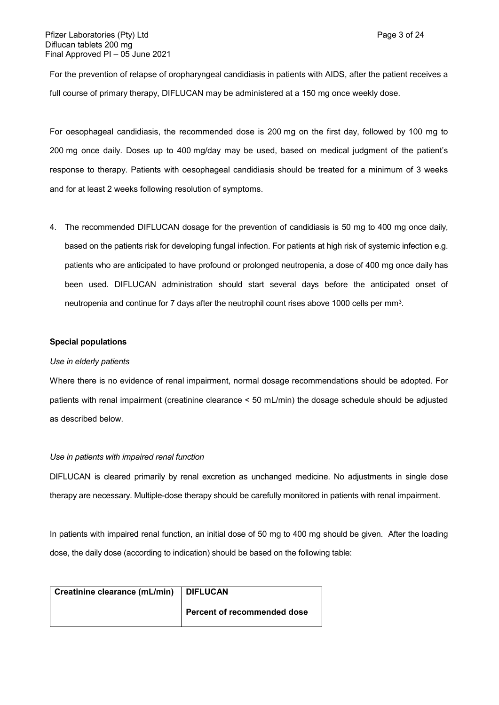For the prevention of relapse of oropharyngeal candidiasis in patients with AIDS, after the patient receives a full course of primary therapy, DIFLUCAN may be administered at a 150 mg once weekly dose.

For oesophageal candidiasis, the recommended dose is 200 mg on the first day, followed by 100 mg to 200 mg once daily. Doses up to 400 mg/day may be used, based on medical judgment of the patient's response to therapy. Patients with oesophageal candidiasis should be treated for a minimum of 3 weeks and for at least 2 weeks following resolution of symptoms.

4. The recommended DIFLUCAN dosage for the prevention of candidiasis is 50 mg to 400 mg once daily, based on the patients risk for developing fungal infection. For patients at high risk of systemic infection e.g. patients who are anticipated to have profound or prolonged neutropenia, a dose of 400 mg once daily has been used. DIFLUCAN administration should start several days before the anticipated onset of neutropenia and continue for 7 days after the neutrophil count rises above 1000 cells per mm $^3\!$ .

# **Special populations**

## *Use in elderly patients*

Where there is no evidence of renal impairment, normal dosage recommendations should be adopted. For patients with renal impairment (creatinine clearance < 50 mL/min) the dosage schedule should be adjusted as described below.

### *Use in patients with impaired renal function*

DIFLUCAN is cleared primarily by renal excretion as unchanged medicine. No adjustments in single dose therapy are necessary. Multiple-dose therapy should be carefully monitored in patients with renal impairment.

In patients with impaired renal function, an initial dose of 50 mg to 400 mg should be given. After the loading dose, the daily dose (according to indication) should be based on the following table:

| Creatinine clearance (mL/min)   DIFLUCAN |                             |
|------------------------------------------|-----------------------------|
|                                          | Percent of recommended dose |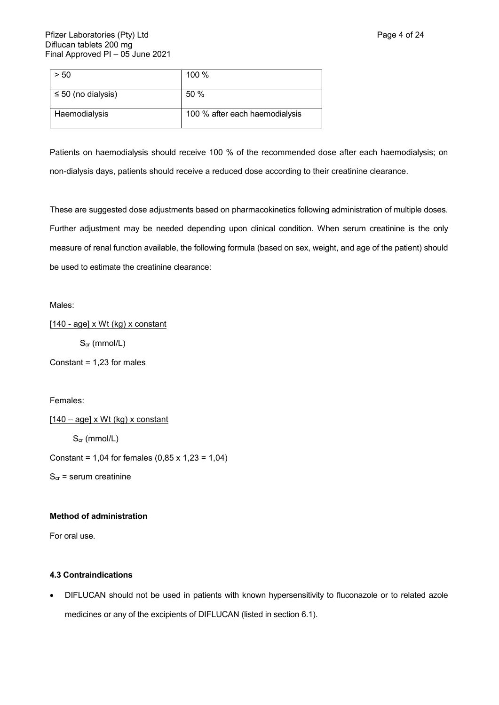| -50                     | 100 %                          |
|-------------------------|--------------------------------|
| $\leq 50$ (no dialysis) | 50%                            |
| Haemodialysis           | 100 % after each haemodialysis |

Patients on haemodialysis should receive 100 % of the recommended dose after each haemodialysis; on non-dialysis days, patients should receive a reduced dose according to their creatinine clearance.

These are suggested dose adjustments based on pharmacokinetics following administration of multiple doses. Further adjustment may be needed depending upon clinical condition. When serum creatinine is the only measure of renal function available, the following formula (based on sex, weight, and age of the patient) should be used to estimate the creatinine clearance:

Males:

[140 - age] x Wt (kg) x constant

Scr (mmol/L)

Constant = 1,23 for males

Females:

 $[140 - age] \times Wt$  (kg) x constant S<sub>cr</sub> (mmol/L)

Constant = 1,04 for females  $(0,85 \times 1,23 = 1,04)$ 

 $S_{cr}$  = serum creatinine

# **Method of administration**

For oral use.

# **4.3 Contraindications**

 DIFLUCAN should not be used in patients with known hypersensitivity to fluconazole or to related azole medicines or any of the excipients of DIFLUCAN (listed in section 6.1).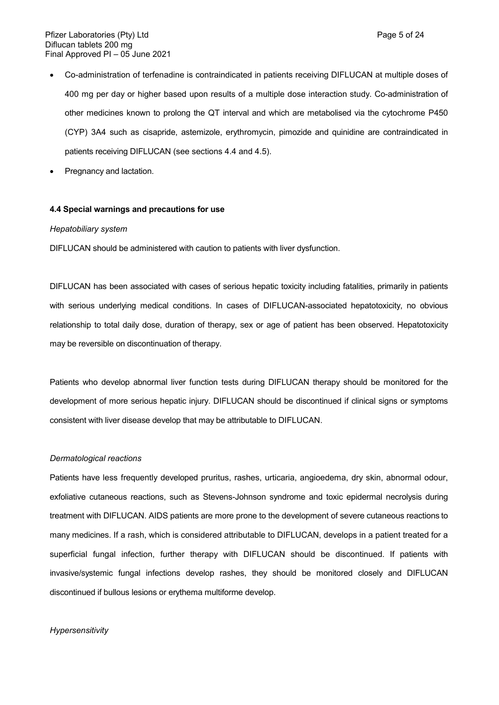- Co-administration of terfenadine is contraindicated in patients receiving DIFLUCAN at multiple doses of 400 mg per day or higher based upon results of a multiple dose interaction study. Co-administration of other medicines known to prolong the QT interval and which are metabolised via the cytochrome P450 (CYP) 3A4 such as cisapride, astemizole, erythromycin, pimozide and quinidine are contraindicated in patients receiving DIFLUCAN (see sections 4.4 and 4.5).
- Pregnancy and lactation.

# **4.4 Special warnings and precautions for use**

#### *Hepatobiliary system*

DIFLUCAN should be administered with caution to patients with liver dysfunction.

DIFLUCAN has been associated with cases of serious hepatic toxicity including fatalities, primarily in patients with serious underlying medical conditions. In cases of DIFLUCAN-associated hepatotoxicity, no obvious relationship to total daily dose, duration of therapy, sex or age of patient has been observed. Hepatotoxicity may be reversible on discontinuation of therapy.

Patients who develop abnormal liver function tests during DIFLUCAN therapy should be monitored for the development of more serious hepatic injury. DIFLUCAN should be discontinued if clinical signs or symptoms consistent with liver disease develop that may be attributable to DIFLUCAN.

## *Dermatological reactions*

Patients have less frequently developed pruritus, rashes, urticaria, angioedema, dry skin, abnormal odour, exfoliative cutaneous reactions, such as Stevens-Johnson syndrome and toxic epidermal necrolysis during treatment with DIFLUCAN. AIDS patients are more prone to the development of severe cutaneous reactions to many medicines. If a rash, which is considered attributable to DIFLUCAN, develops in a patient treated for a superficial fungal infection, further therapy with DIFLUCAN should be discontinued. If patients with invasive/systemic fungal infections develop rashes, they should be monitored closely and DIFLUCAN discontinued if bullous lesions or erythema multiforme develop.

# *Hypersensitivity*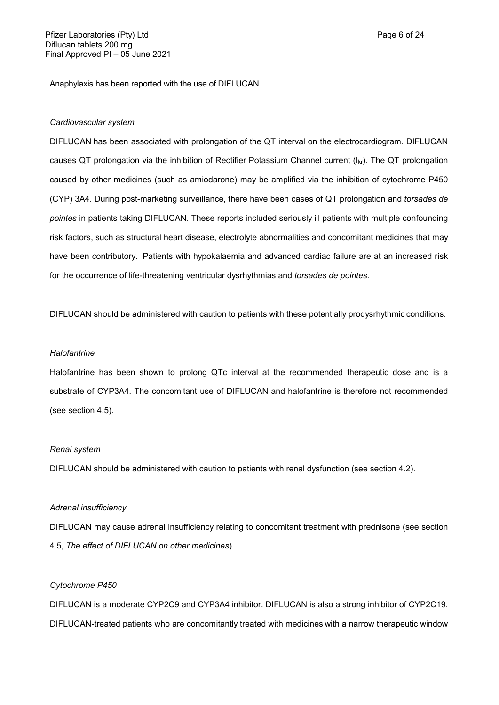Anaphylaxis has been reported with the use of DIFLUCAN.

### *Cardiovascular system*

DIFLUCAN has been associated with prolongation of the QT interval on the electrocardiogram. DIFLUCAN causes QT prolongation via the inhibition of Rectifier Potassium Channel current (Ikr). The QT prolongation caused by other medicines (such as amiodarone) may be amplified via the inhibition of cytochrome P450 (CYP) 3A4. During post-marketing surveillance, there have been cases of QT prolongation and *torsades de pointes* in patients taking DIFLUCAN. These reports included seriously ill patients with multiple confounding risk factors, such as structural heart disease, electrolyte abnormalities and concomitant medicines that may have been contributory. Patients with hypokalaemia and advanced cardiac failure are at an increased risk for the occurrence of life-threatening ventricular dysrhythmias and *torsades de pointes.*

DIFLUCAN should be administered with caution to patients with these potentially prodysrhythmic conditions.

# *Halofantrine*

Halofantrine has been shown to prolong QTc interval at the recommended therapeutic dose and is a substrate of CYP3A4. The concomitant use of DIFLUCAN and halofantrine is therefore not recommended (see section 4.5).

#### *Renal system*

DIFLUCAN should be administered with caution to patients with renal dysfunction (see section 4.2).

#### *Adrenal insufficiency*

DIFLUCAN may cause adrenal insufficiency relating to concomitant treatment with prednisone (see section 4.5, *The effect of DIFLUCAN on other medicines*).

# *Cytochrome P450*

DIFLUCAN is a moderate CYP2C9 and CYP3A4 inhibitor. DIFLUCAN is also a strong inhibitor of CYP2C19. DIFLUCAN-treated patients who are concomitantly treated with medicines with a narrow therapeutic window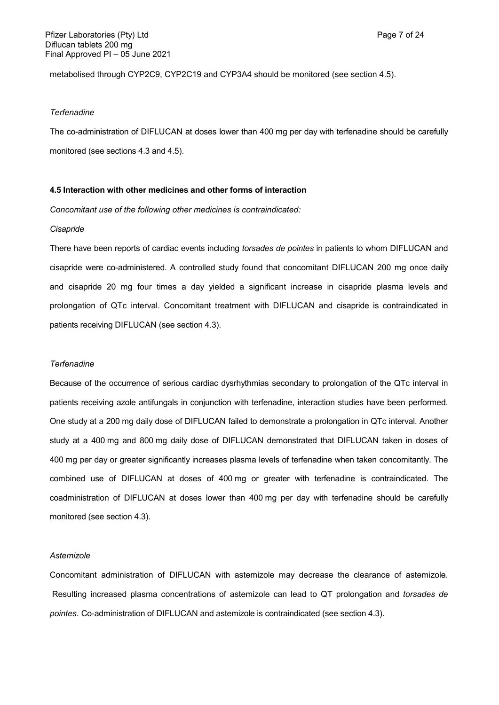metabolised through CYP2C9, CYP2C19 and CYP3A4 should be monitored (see section 4.5).

### *Terfenadine*

The co-administration of DIFLUCAN at doses lower than 400 mg per day with terfenadine should be carefully monitored (see sections 4.3 and 4.5).

# **4.5 Interaction with other medicines and other forms of interaction**

*Concomitant use of the following other medicines is contraindicated:*

#### *Cisapride*

There have been reports of cardiac events including *torsades de pointes* in patients to whom DIFLUCAN and cisapride were co-administered. A controlled study found that concomitant DIFLUCAN 200 mg once daily and cisapride 20 mg four times a day yielded a significant increase in cisapride plasma levels and prolongation of QTc interval. Concomitant treatment with DIFLUCAN and cisapride is contraindicated in patients receiving DIFLUCAN (see section 4.3).

### *Terfenadine*

Because of the occurrence of serious cardiac dysrhythmias secondary to prolongation of the QTc interval in patients receiving azole antifungals in conjunction with terfenadine, interaction studies have been performed. One study at a 200 mg daily dose of DIFLUCAN failed to demonstrate a prolongation in QTc interval. Another study at a 400 mg and 800 mg daily dose of DIFLUCAN demonstrated that DIFLUCAN taken in doses of 400 mg per day or greater significantly increases plasma levels of terfenadine when taken concomitantly. The combined use of DIFLUCAN at doses of 400 mg or greater with terfenadine is contraindicated. The coadministration of DIFLUCAN at doses lower than 400 mg per day with terfenadine should be carefully monitored (see section 4.3).

# *Astemizole*

Concomitant administration of DIFLUCAN with astemizole may decrease the clearance of astemizole. Resulting increased plasma concentrations of astemizole can lead to QT prolongation and *torsades de pointes*. Co-administration of DIFLUCAN and astemizole is contraindicated (see section 4.3).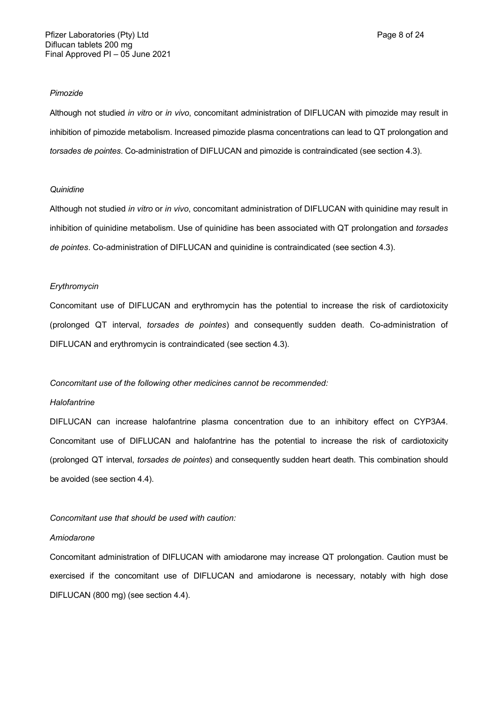#### *Pimozide*

Although not studied *in vitro* or *in vivo*, concomitant administration of DIFLUCAN with pimozide may result in inhibition of pimozide metabolism. Increased pimozide plasma concentrations can lead to QT prolongation and *torsades de pointes*. Co-administration of DIFLUCAN and pimozide is contraindicated (see section 4.3).

# *Quinidine*

Although not studied *in vitro* or *in vivo*, concomitant administration of DIFLUCAN with quinidine may result in inhibition of quinidine metabolism. Use of quinidine has been associated with QT prolongation and *torsades de pointes*. Co-administration of DIFLUCAN and quinidine is contraindicated (see section 4.3).

### *Erythromycin*

Concomitant use of DIFLUCAN and erythromycin has the potential to increase the risk of cardiotoxicity (prolonged QT interval, *torsades de pointes*) and consequently sudden death. Co-administration of DIFLUCAN and erythromycin is contraindicated (see section 4.3).

# *Concomitant use of the following other medicines cannot be recommended:*

# *Halofantrine*

DIFLUCAN can increase halofantrine plasma concentration due to an inhibitory effect on CYP3A4. Concomitant use of DIFLUCAN and halofantrine has the potential to increase the risk of cardiotoxicity (prolonged QT interval, *torsades de pointes*) and consequently sudden heart death. This combination should be avoided (see section 4.4).

# *Concomitant use that should be used with caution:*

#### *Amiodarone*

Concomitant administration of DIFLUCAN with amiodarone may increase QT prolongation. Caution must be exercised if the concomitant use of DIFLUCAN and amiodarone is necessary, notably with high dose DIFLUCAN (800 mg) (see section 4.4).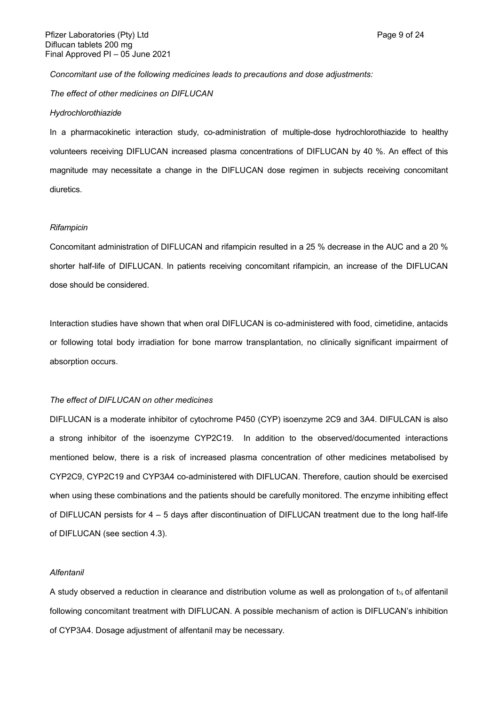#### *Concomitant use of the following medicines leads to precautions and dose adjustments:*

*The effect of other medicines on DIFLUCAN*

#### *Hydrochlorothiazide*

In a pharmacokinetic interaction study, co-administration of multiple-dose hydrochlorothiazide to healthy volunteers receiving DIFLUCAN increased plasma concentrations of DIFLUCAN by 40 %. An effect of this magnitude may necessitate a change in the DIFLUCAN dose regimen in subjects receiving concomitant diuretics.

#### *Rifampicin*

Concomitant administration of DIFLUCAN and rifampicin resulted in a 25 % decrease in the AUC and a 20 % shorter half-life of DIFLUCAN. In patients receiving concomitant rifampicin, an increase of the DIFLUCAN dose should be considered.

Interaction studies have shown that when oral DIFLUCAN is co-administered with food, cimetidine, antacids or following total body irradiation for bone marrow transplantation, no clinically significant impairment of absorption occurs.

# *The effect of DIFLUCAN on other medicines*

DIFLUCAN is a moderate inhibitor of cytochrome P450 (CYP) isoenzyme 2C9 and 3A4. DIFULCAN is also a strong inhibitor of the isoenzyme CYP2C19. In addition to the observed/documented interactions mentioned below, there is a risk of increased plasma concentration of other medicines metabolised by CYP2C9, CYP2C19 and CYP3A4 co-administered with DIFLUCAN. Therefore, caution should be exercised when using these combinations and the patients should be carefully monitored. The enzyme inhibiting effect of DIFLUCAN persists for 4 – 5 days after discontinuation of DIFLUCAN treatment due to the long half-life of DIFLUCAN (see section 4.3).

## *Alfentanil*

A study observed a reduction in clearance and distribution volume as well as prolongation of t½ of alfentanil following concomitant treatment with DIFLUCAN. A possible mechanism of action is DIFLUCAN's inhibition of CYP3A4. Dosage adjustment of alfentanil may be necessary.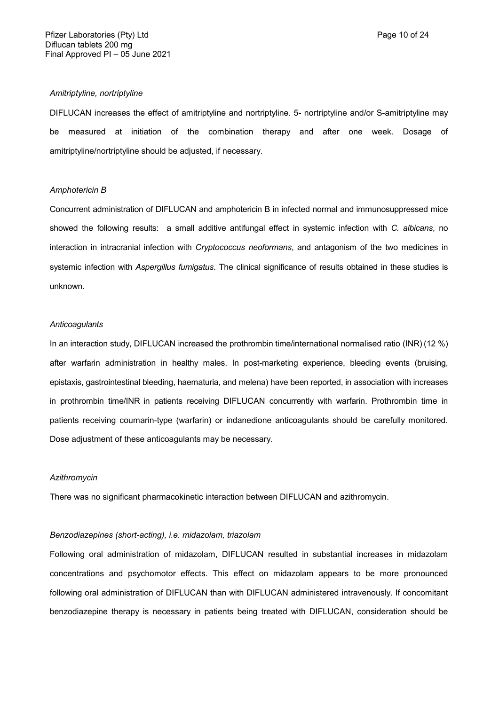## *Amitriptyline, nortriptyline*

DIFLUCAN increases the effect of amitriptyline and nortriptyline. 5- nortriptyline and/or S-amitriptyline may be measured at initiation of the combination therapy and after one week. Dosage of amitriptyline/nortriptyline should be adjusted, if necessary.

# *Amphotericin B*

Concurrent administration of DIFLUCAN and amphotericin B in infected normal and immunosuppressed mice showed the following results: a small additive antifungal effect in systemic infection with *C. albicans*, no interaction in intracranial infection with *Cryptococcus neoformans*, and antagonism of the two medicines in systemic infection with *Aspergillus fumigatus*. The clinical significance of results obtained in these studies is unknown.

# *Anticoagulants*

In an interaction study, DIFLUCAN increased the prothrombin time/international normalised ratio (INR) (12 %) after warfarin administration in healthy males. In post-marketing experience, bleeding events (bruising, epistaxis, gastrointestinal bleeding, haematuria, and melena) have been reported, in association with increases in prothrombin time/INR in patients receiving DIFLUCAN concurrently with warfarin. Prothrombin time in patients receiving coumarin-type (warfarin) or indanedione anticoagulants should be carefully monitored. Dose adjustment of these anticoagulants may be necessary.

#### *Azithromycin*

There was no significant pharmacokinetic interaction between DIFLUCAN and azithromycin.

# *Benzodiazepines (short-acting), i.e. midazolam, triazolam*

Following oral administration of midazolam, DIFLUCAN resulted in substantial increases in midazolam concentrations and psychomotor effects. This effect on midazolam appears to be more pronounced following oral administration of DIFLUCAN than with DIFLUCAN administered intravenously. If concomitant benzodiazepine therapy is necessary in patients being treated with DIFLUCAN, consideration should be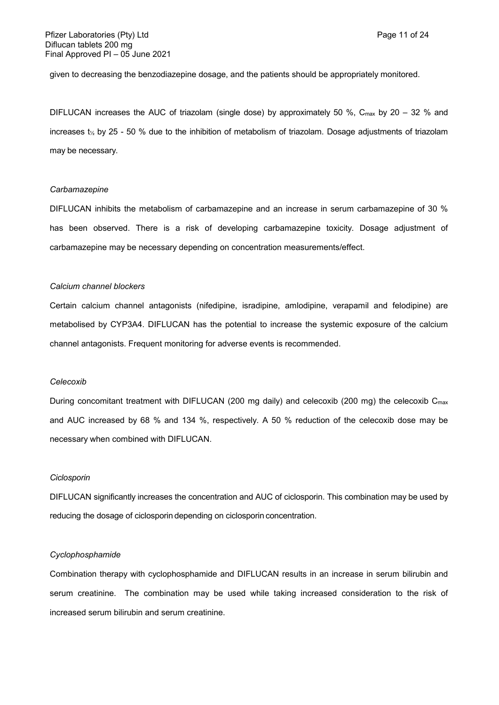given to decreasing the benzodiazepine dosage, and the patients should be appropriately monitored.

DIFLUCAN increases the AUC of triazolam (single dose) by approximately 50 %, C<sub>max</sub> by 20 – 32 % and increases t<sup>½</sup> by 25 - 50 % due to the inhibition of metabolism of triazolam. Dosage adjustments of triazolam may be necessary.

#### *Carbamazepine*

DIFLUCAN inhibits the metabolism of carbamazepine and an increase in serum carbamazepine of 30 % has been observed. There is a risk of developing carbamazepine toxicity. Dosage adjustment of carbamazepine may be necessary depending on concentration measurements/effect.

# *Calcium channel blockers*

Certain calcium channel antagonists (nifedipine, isradipine, amlodipine, verapamil and felodipine) are metabolised by CYP3A4. DIFLUCAN has the potential to increase the systemic exposure of the calcium channel antagonists. Frequent monitoring for adverse events is recommended.

# *Celecoxib*

During concomitant treatment with DIFLUCAN (200 mg daily) and celecoxib (200 mg) the celecoxib C<sub>max</sub> and AUC increased by 68 % and 134 %, respectively. A 50 % reduction of the celecoxib dose may be necessary when combined with DIFLUCAN.

### *Ciclosporin*

DIFLUCAN significantly increases the concentration and AUC of ciclosporin. This combination may be used by reducing the dosage of ciclosporin depending on ciclosporin concentration.

## *Cyclophosphamide*

Combination therapy with cyclophosphamide and DIFLUCAN results in an increase in serum bilirubin and serum creatinine. The combination may be used while taking increased consideration to the risk of increased serum bilirubin and serum creatinine.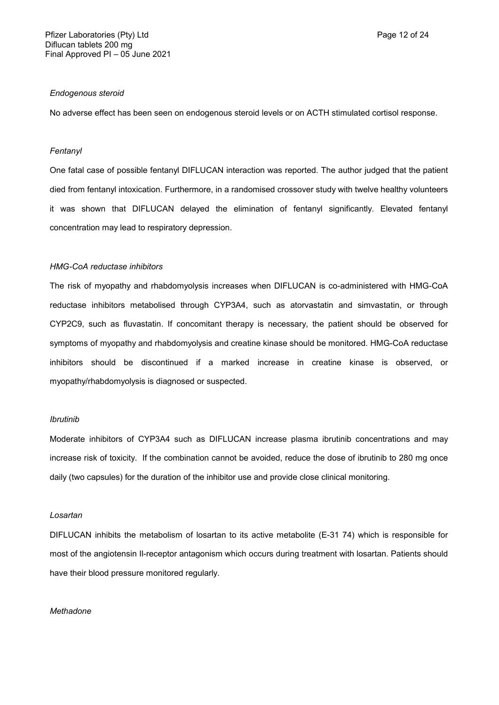## *Endogenous steroid*

No adverse effect has been seen on endogenous steroid levels or on ACTH stimulated cortisol response.

# *Fentanyl*

One fatal case of possible fentanyl DIFLUCAN interaction was reported. The author judged that the patient died from fentanyl intoxication. Furthermore, in a randomised crossover study with twelve healthy volunteers it was shown that DIFLUCAN delayed the elimination of fentanyl significantly. Elevated fentanyl concentration may lead to respiratory depression.

## *HMG-CoA reductase inhibitors*

The risk of myopathy and rhabdomyolysis increases when DIFLUCAN is co-administered with HMG-CoA reductase inhibitors metabolised through CYP3A4, such as atorvastatin and simvastatin, or through CYP2C9, such as fluvastatin. If concomitant therapy is necessary, the patient should be observed for symptoms of myopathy and rhabdomyolysis and creatine kinase should be monitored. HMG-CoA reductase inhibitors should be discontinued if a marked increase in creatine kinase is observed, or myopathy/rhabdomyolysis is diagnosed or suspected.

# *Ibrutinib*

Moderate inhibitors of CYP3A4 such as DIFLUCAN increase plasma ibrutinib concentrations and may increase risk of toxicity. If the combination cannot be avoided, reduce the dose of ibrutinib to 280 mg once daily (two capsules) for the duration of the inhibitor use and provide close clinical monitoring.

### *Losartan*

DIFLUCAN inhibits the metabolism of losartan to its active metabolite (E-31 74) which is responsible for most of the angiotensin Il-receptor antagonism which occurs during treatment with losartan. Patients should have their blood pressure monitored regularly.

# *Methadone*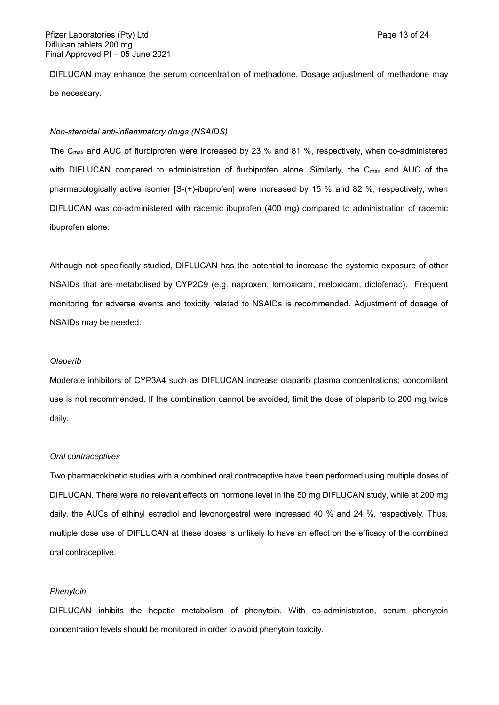DIFLUCAN may enhance the serum concentration of methadone. Dosage adjustment of methadone may be necessary.

# *Non-steroidal anti-inflammatory drugs (NSAIDS)*

The Cmax and AUC of flurbiprofen were increased by 23 % and 81 %, respectively, when co-administered with DIFLUCAN compared to administration of flurbiprofen alone. Similarly, the C<sub>max</sub> and AUC of the pharmacologically active isomer [S-(+)-ibuprofen] were increased by 15 % and 82 %, respectively, when DIFLUCAN was co-administered with racemic ibuprofen (400 mg) compared to administration of racemic ibuprofen alone.

Although not specifically studied, DIFLUCAN has the potential to increase the systemic exposure of other NSAIDs that are metabolised by CYP2C9 (e.g. naproxen, lornoxicam, meloxicam, diclofenac). Frequent monitoring for adverse events and toxicity related to NSAIDs is recommended. Adjustment of dosage of NSAIDs may be needed.

# *Olaparib*

Moderate inhibitors of CYP3A4 such as DIFLUCAN increase olaparib plasma concentrations; concomitant use is not recommended. If the combination cannot be avoided, limit the dose of olaparib to 200 mg twice daily.

# *Oral contraceptives*

Two pharmacokinetic studies with a combined oral contraceptive have been performed using multiple doses of DIFLUCAN. There were no relevant effects on hormone level in the 50 mg DIFLUCAN study, while at 200 mg daily, the AUCs of ethinyl estradiol and levonorgestrel were increased 40 % and 24 %, respectively. Thus, multiple dose use of DIFLUCAN at these doses is unlikely to have an effect on the efficacy of the combined oral contraceptive.

# *Phenytoin*

DIFLUCAN inhibits the hepatic metabolism of phenytoin. With co-administration, serum phenytoin concentration levels should be monitored in order to avoid phenytoin toxicity.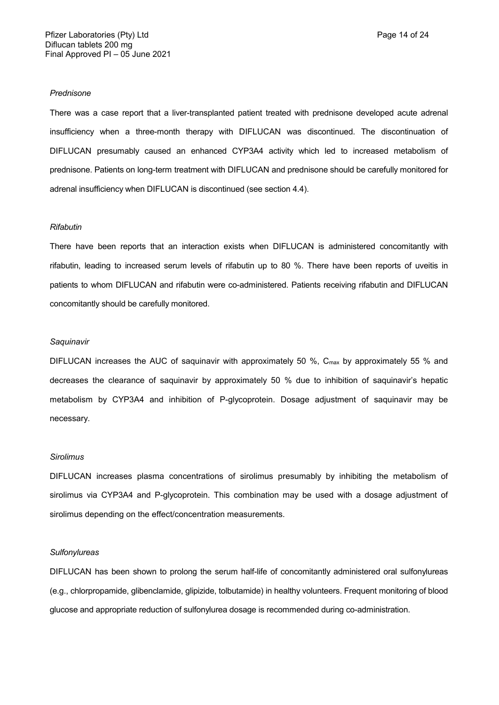#### *Prednisone*

There was a case report that a liver-transplanted patient treated with prednisone developed acute adrenal insufficiency when a three-month therapy with DIFLUCAN was discontinued. The discontinuation of DIFLUCAN presumably caused an enhanced CYP3A4 activity which led to increased metabolism of prednisone. Patients on long-term treatment with DIFLUCAN and prednisone should be carefully monitored for adrenal insufficiency when DIFLUCAN is discontinued (see section 4.4).

#### *Rifabutin*

There have been reports that an interaction exists when DIFLUCAN is administered concomitantly with rifabutin, leading to increased serum levels of rifabutin up to 80 %. There have been reports of uveitis in patients to whom DIFLUCAN and rifabutin were co-administered. Patients receiving rifabutin and DIFLUCAN concomitantly should be carefully monitored.

#### *Saquinavir*

DIFLUCAN increases the AUC of saquinavir with approximately 50  $\%$ , C<sub>max</sub> by approximately 55  $\%$  and decreases the clearance of saquinavir by approximately 50 % due to inhibition of saquinavir's hepatic metabolism by CYP3A4 and inhibition of P-glycoprotein. Dosage adjustment of saquinavir may be necessary.

# *Sirolimus*

DIFLUCAN increases plasma concentrations of sirolimus presumably by inhibiting the metabolism of sirolimus via CYP3A4 and P-glycoprotein. This combination may be used with a dosage adjustment of sirolimus depending on the effect/concentration measurements.

#### *Sulfonylureas*

DIFLUCAN has been shown to prolong the serum half-life of concomitantly administered oral sulfonylureas (e.g., chlorpropamide, glibenclamide, glipizide, tolbutamide) in healthy volunteers. Frequent monitoring of blood glucose and appropriate reduction of sulfonylurea dosage is recommended during co-administration.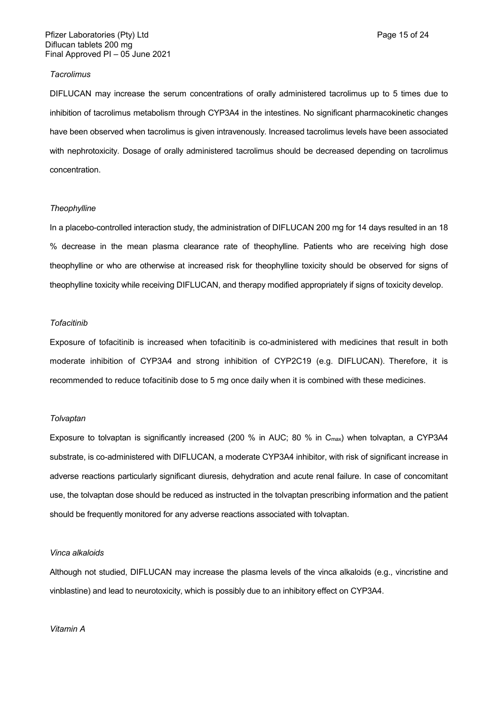## *Tacrolimus*

DIFLUCAN may increase the serum concentrations of orally administered tacrolimus up to 5 times due to inhibition of tacrolimus metabolism through CYP3A4 in the intestines. No significant pharmacokinetic changes have been observed when tacrolimus is given intravenously. Increased tacrolimus levels have been associated with nephrotoxicity. Dosage of orally administered tacrolimus should be decreased depending on tacrolimus concentration.

## *Theophylline*

In a placebo-controlled interaction study, the administration of DIFLUCAN 200 mg for 14 days resulted in an 18 % decrease in the mean plasma clearance rate of theophylline. Patients who are receiving high dose theophylline or who are otherwise at increased risk for theophylline toxicity should be observed for signs of theophylline toxicity while receiving DIFLUCAN, and therapy modified appropriately if signs of toxicity develop.

#### *Tofacitinib*

Exposure of tofacitinib is increased when tofacitinib is co-administered with medicines that result in both moderate inhibition of CYP3A4 and strong inhibition of CYP2C19 (e.g. DIFLUCAN). Therefore, it is recommended to reduce tofacitinib dose to 5 mg once daily when it is combined with these medicines.

## *Tolvaptan*

Exposure to tolvaptan is significantly increased (200 % in AUC; 80 % in  $C_{\text{max}}$ ) when tolvaptan, a CYP3A4 substrate, is co-administered with DIFLUCAN, a moderate CYP3A4 inhibitor, with risk of significant increase in adverse reactions particularly significant diuresis, dehydration and acute renal failure. In case of concomitant use, the tolvaptan dose should be reduced as instructed in the tolvaptan prescribing information and the patient should be frequently monitored for any adverse reactions associated with tolvaptan.

### *Vinca alkaloids*

Although not studied, DIFLUCAN may increase the plasma levels of the vinca alkaloids (e.g., vincristine and vinblastine) and lead to neurotoxicity, which is possibly due to an inhibitory effect on CYP3A4.

*Vitamin A*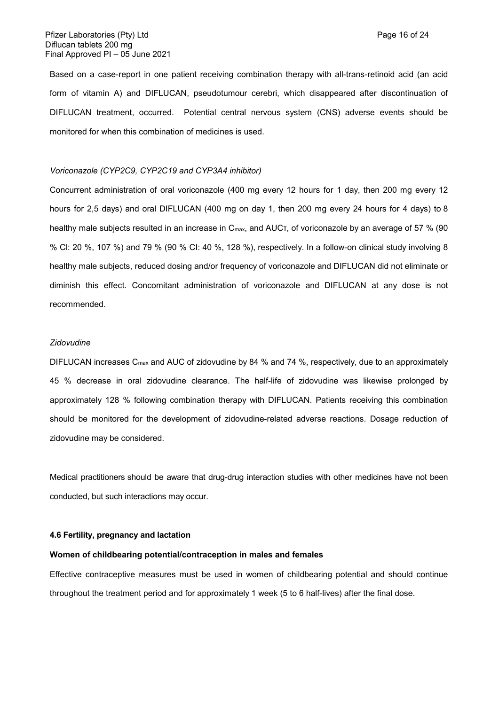Based on a case-report in one patient receiving combination therapy with all-trans-retinoid acid (an acid form of vitamin A) and DIFLUCAN, pseudotumour cerebri, which disappeared after discontinuation of DIFLUCAN treatment, occurred. Potential central nervous system (CNS) adverse events should be monitored for when this combination of medicines is used.

# *Voriconazole (CYP2C9, CYP2C19 and CYP3A4 inhibitor)*

Concurrent administration of oral voriconazole (400 mg every 12 hours for 1 day, then 200 mg every 12 hours for 2,5 days) and oral DIFLUCAN (400 mg on day 1, then 200 mg every 24 hours for 4 days) to 8 healthy male subjects resulted in an increase in Cmax, and AUCτ, of voriconazole by an average of 57 % (90 % Cl: 20 %, 107 %) and 79 % (90 % CI: 40 %, 128 %), respectively. In a follow-on clinical study involving 8 healthy male subjects, reduced dosing and/or frequency of voriconazole and DIFLUCAN did not eliminate or diminish this effect. Concomitant administration of voriconazole and DIFLUCAN at any dose is not recommended.

## *Zidovudine*

DIFLUCAN increases C<sub>max</sub> and AUC of zidovudine by 84 % and 74 %, respectively, due to an approximately 45 % decrease in oral zidovudine clearance. The half-life of zidovudine was likewise prolonged by approximately 128 % following combination therapy with DIFLUCAN. Patients receiving this combination should be monitored for the development of zidovudine-related adverse reactions. Dosage reduction of zidovudine may be considered.

Medical practitioners should be aware that drug-drug interaction studies with other medicines have not been conducted, but such interactions may occur.

### **4.6 Fertility, pregnancy and lactation**

#### **Women of childbearing potential/contraception in males and females**

Effective contraceptive measures must be used in women of childbearing potential and should continue throughout the treatment period and for approximately 1 week (5 to 6 half-lives) after the final dose.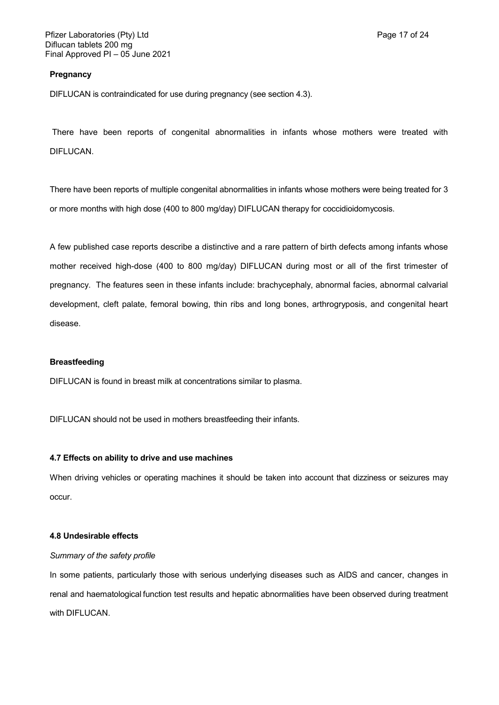## **Pregnancy**

DIFLUCAN is contraindicated for use during pregnancy (see section 4.3).

There have been reports of congenital abnormalities in infants whose mothers were treated with DIFLUCAN.

There have been reports of multiple congenital abnormalities in infants whose mothers were being treated for 3 or more months with high dose (400 to 800 mg/day) DIFLUCAN therapy for coccidioidomycosis.

A few published case reports describe a distinctive and a rare pattern of birth defects among infants whose mother received high-dose (400 to 800 mg/day) DIFLUCAN during most or all of the first trimester of pregnancy. The features seen in these infants include: brachycephaly, abnormal facies, abnormal calvarial development, cleft palate, femoral bowing, thin ribs and long bones, arthrogryposis, and congenital heart disease.

# **Breastfeeding**

DIFLUCAN is found in breast milk at concentrations similar to plasma.

DIFLUCAN should not be used in mothers breastfeeding their infants.

# **4.7 Effects on ability to drive and use machines**

When driving vehicles or operating machines it should be taken into account that dizziness or seizures may occur.

# **4.8 Undesirable effects**

# *Summary of the safety profile*

In some patients, particularly those with serious underlying diseases such as AIDS and cancer, changes in renal and haematological function test results and hepatic abnormalities have been observed during treatment with DIFLUCAN.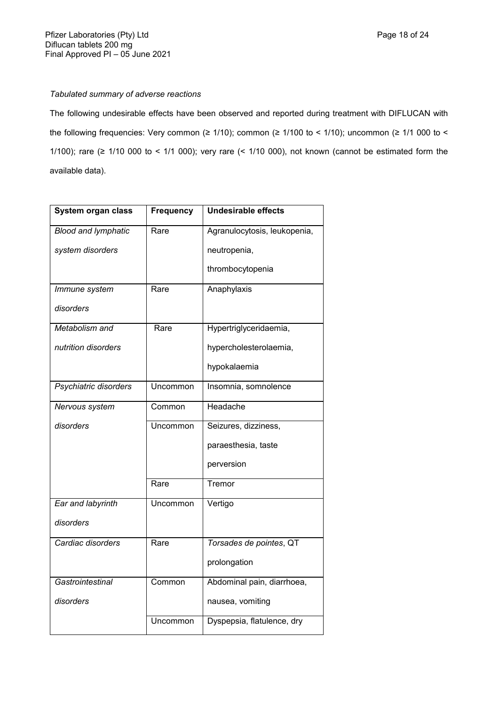# *Tabulated summary of adverse reactions*

The following undesirable effects have been observed and reported during treatment with DIFLUCAN with the following frequencies: Very common (≥ 1/10); common (≥ 1/100 to < 1/10); uncommon (≥ 1/1 000 to < 1/100); rare (≥ 1/10 000 to < 1/1 000); very rare (< 1/10 000), not known (cannot be estimated form the available data).

| System organ class         | <b>Frequency</b> | <b>Undesirable effects</b>   |
|----------------------------|------------------|------------------------------|
| <b>Blood and lymphatic</b> | Rare             | Agranulocytosis, leukopenia, |
| system disorders           |                  | neutropenia,                 |
|                            |                  | thrombocytopenia             |
| Immune system              | Rare             | Anaphylaxis                  |
| disorders                  |                  |                              |
| Metabolism and             | Rare             | Hypertriglyceridaemia,       |
| nutrition disorders        |                  | hypercholesterolaemia,       |
|                            |                  | hypokalaemia                 |
| Psychiatric disorders      | Uncommon         | Insomnia, somnolence         |
| Nervous system             | Common           | Headache                     |
| disorders                  | Uncommon         | Seizures, dizziness,         |
|                            |                  | paraesthesia, taste          |
|                            |                  | perversion                   |
|                            | Rare             | Tremor                       |
| Ear and labyrinth          | Uncommon         | Vertigo                      |
| disorders                  |                  |                              |
| Cardiac disorders          | Rare             | Torsades de pointes, QT      |
|                            |                  | prolongation                 |
| Gastrointestinal           | Common           | Abdominal pain, diarrhoea,   |
| disorders                  |                  | nausea, vomiting             |
|                            | Uncommon         | Dyspepsia, flatulence, dry   |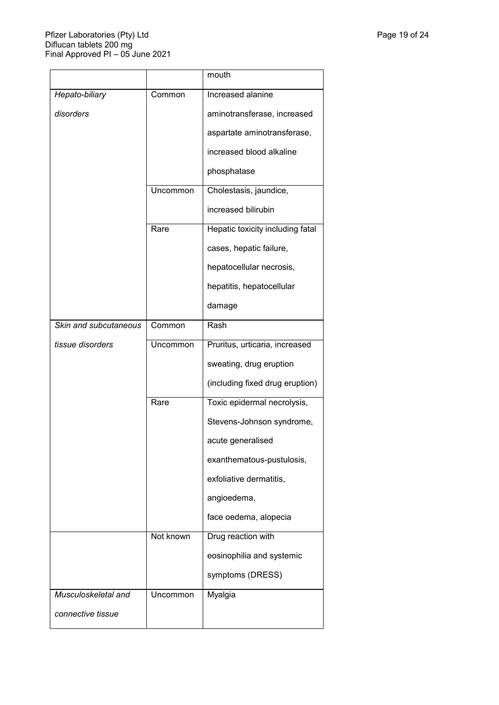|                       |           | mouth                            |
|-----------------------|-----------|----------------------------------|
| Hepato-biliary        | Common    | Increased alanine                |
| disorders             |           | aminotransferase, increased      |
|                       |           | aspartate aminotransferase,      |
|                       |           | increased blood alkaline         |
|                       |           | phosphatase                      |
|                       | Uncommon  | Cholestasis, jaundice,           |
|                       |           | increased bilirubin              |
|                       | Rare      | Hepatic toxicity including fatal |
|                       |           | cases, hepatic failure,          |
|                       |           | hepatocellular necrosis,         |
|                       |           | hepatitis, hepatocellular        |
|                       |           | damage                           |
| Skin and subcutaneous | Common    | Rash                             |
| tissue disorders      | Uncommon  | Pruritus, urticaria, increased   |
|                       |           | sweating, drug eruption          |
|                       |           | (including fixed drug eruption)  |
|                       | Rare      | Toxic epidermal necrolysis,      |
|                       |           | Stevens-Johnson syndrome,        |
|                       |           | acute generalised                |
|                       |           | exanthematous-pustulosis,        |
|                       |           | exfoliative dermatitis,          |
|                       |           | angioedema,                      |
|                       |           | face oedema, alopecia            |
|                       | Not known | Drug reaction with               |
|                       |           | eosinophilia and systemic        |
|                       |           | symptoms (DRESS)                 |
| Musculoskeletal and   | Uncommon  | Myalgia                          |
| connective tissue     |           |                                  |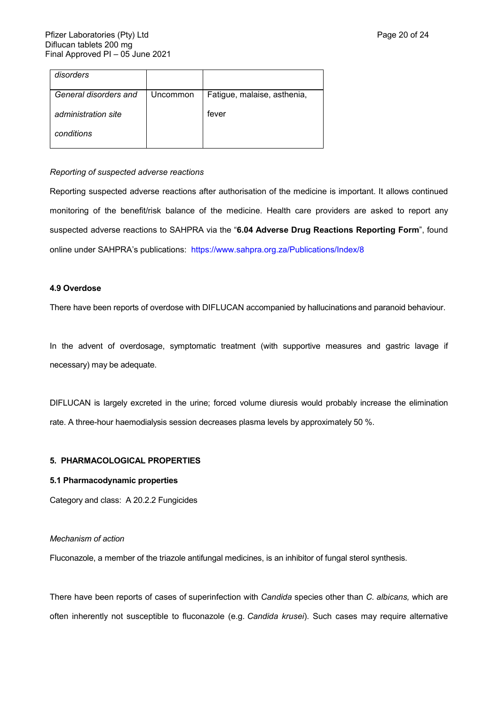| disorders             |          |                             |
|-----------------------|----------|-----------------------------|
| General disorders and | Uncommon | Fatigue, malaise, asthenia, |
| administration site   |          | fever                       |
| conditions            |          |                             |

# *Reporting of suspected adverse reactions*

Reporting suspected adverse reactions after authorisation of the medicine is important. It allows continued monitoring of the benefit/risk balance of the medicine. Health care providers are asked to report any suspected adverse reactions to SAHPRA via the "**6.04 Adverse Drug Reactions Reporting Form**", found online under SAHPRA's publications: <https://www.sahpra.org.za/Publications/Index/8>

# **4.9 Overdose**

There have been reports of overdose with DIFLUCAN accompanied by hallucinations and paranoid behaviour.

In the advent of overdosage, symptomatic treatment (with supportive measures and gastric lavage if necessary) may be adequate.

DIFLUCAN is largely excreted in the urine; forced volume diuresis would probably increase the elimination rate. A three-hour haemodialysis session decreases plasma levels by approximately 50 %.

# **5. PHARMACOLOGICAL PROPERTIES**

# **5.1 Pharmacodynamic properties**

Category and class:A 20.2.2 Fungicides

### *Mechanism of action*

Fluconazole, a member of the triazole antifungal medicines, is an inhibitor of fungal sterol synthesis.

There have been reports of cases of superinfection with *Candida* species other than *C. albicans,* which are often inherently not susceptible to fluconazole (e.g. *Candida krusei*). Such cases may require alternative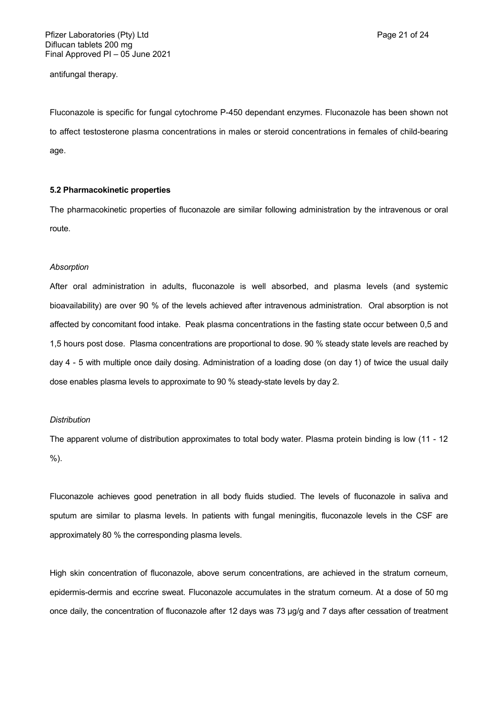antifungal therapy.

Fluconazole is specific for fungal cytochrome P-450 dependant enzymes. Fluconazole has been shown not to affect testosterone plasma concentrations in males or steroid concentrations in females of child-bearing age.

# **5.2 Pharmacokinetic properties**

The pharmacokinetic properties of fluconazole are similar following administration by the intravenous or oral route.

#### *Absorption*

After oral administration in adults, fluconazole is well absorbed, and plasma levels (and systemic bioavailability) are over 90 % of the levels achieved after intravenous administration. Oral absorption is not affected by concomitant food intake. Peak plasma concentrations in the fasting state occur between 0,5 and 1,5 hours post dose. Plasma concentrations are proportional to dose. 90 % steady state levels are reached by day 4 - 5 with multiple once daily dosing. Administration of a loading dose (on day 1) of twice the usual daily dose enables plasma levels to approximate to 90 % steady-state levels by day 2.

# *Distribution*

The apparent volume of distribution approximates to total body water. Plasma protein binding is low (11 - 12 %).

Fluconazole achieves good penetration in all body fluids studied. The levels of fluconazole in saliva and sputum are similar to plasma levels. In patients with fungal meningitis, fluconazole levels in the CSF are approximately 80 % the corresponding plasma levels.

High skin concentration of fluconazole, above serum concentrations, are achieved in the stratum corneum, epidermis-dermis and eccrine sweat. Fluconazole accumulates in the stratum corneum. At a dose of 50 mg once daily, the concentration of fluconazole after 12 days was 73 µg/g and 7 days after cessation of treatment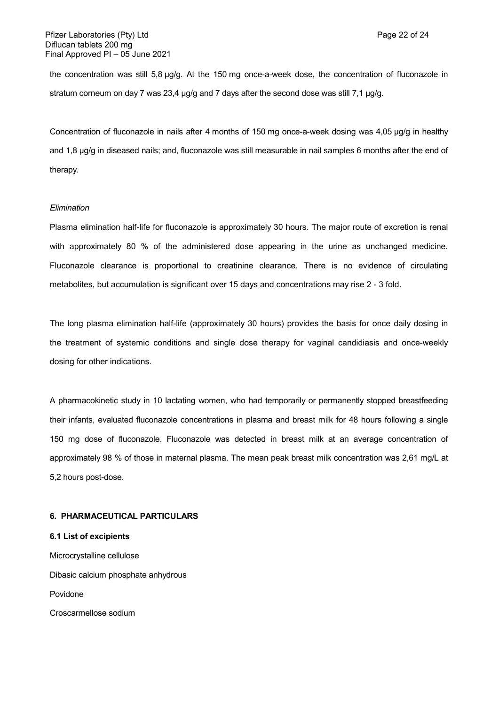the concentration was still 5,8 µg/g. At the 150 mg once-a-week dose, the concentration of fluconazole in stratum corneum on day 7 was 23,4 µg/g and 7 days after the second dose was still 7,1 µg/g.

Concentration of fluconazole in nails after 4 months of 150 mg once-a-week dosing was 4,05 µg/g in healthy and 1,8 µg/g in diseased nails; and, fluconazole was still measurable in nail samples 6 months after the end of therapy.

# *Elimination*

Plasma elimination half-life for fluconazole is approximately 30 hours. The major route of excretion is renal with approximately 80 % of the administered dose appearing in the urine as unchanged medicine. Fluconazole clearance is proportional to creatinine clearance. There is no evidence of circulating metabolites, but accumulation is significant over 15 days and concentrations may rise 2 - 3 fold.

The long plasma elimination half-life (approximately 30 hours) provides the basis for once daily dosing in the treatment of systemic conditions and single dose therapy for vaginal candidiasis and once-weekly dosing for other indications.

A pharmacokinetic study in 10 lactating women, who had temporarily or permanently stopped breastfeeding their infants, evaluated fluconazole concentrations in plasma and breast milk for 48 hours following a single 150 mg dose of fluconazole. Fluconazole was detected in breast milk at an average concentration of approximately 98 % of those in maternal plasma. The mean peak breast milk concentration was 2,61 mg/L at 5,2 hours post-dose.

# **6. PHARMACEUTICAL PARTICULARS**

Microcrystalline cellulose Dibasic calcium phosphate anhydrous Povidone Croscarmellose sodium

**6.1 List of excipients**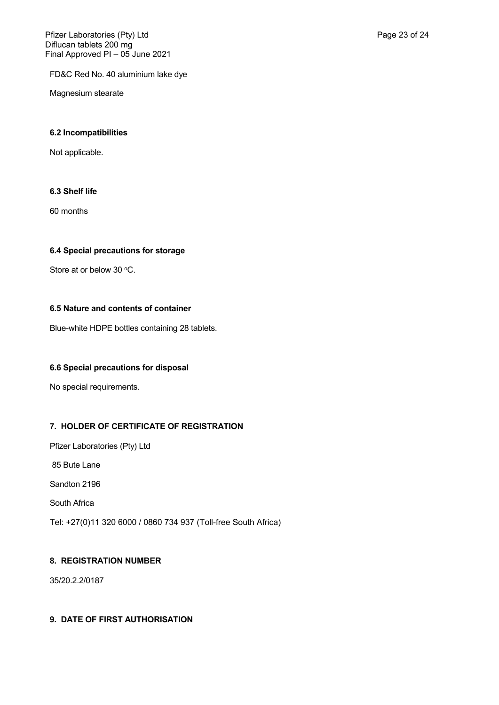FD&C Red No. 40 aluminium lake dye

Magnesium stearate

# **6.2 Incompatibilities**

Not applicable.

# **6.3 Shelf life**

60 months

# **6.4 Special precautions for storage**

Store at or below 30 °C.

# **6.5 Nature and contents of container**

Blue-white HDPE bottles containing 28 tablets.

# **6.6 Special precautions for disposal**

No special requirements.

# **7. HOLDER OF CERTIFICATE OF REGISTRATION**

Pfizer Laboratories (Pty) Ltd

85 Bute Lane

Sandton 2196

South Africa

Tel: +27(0)11 320 6000 / 0860 734 937 (Toll-free South Africa)

# **8. REGISTRATION NUMBER**

35/20.2.2/0187

# **9. DATE OF FIRST AUTHORISATION**